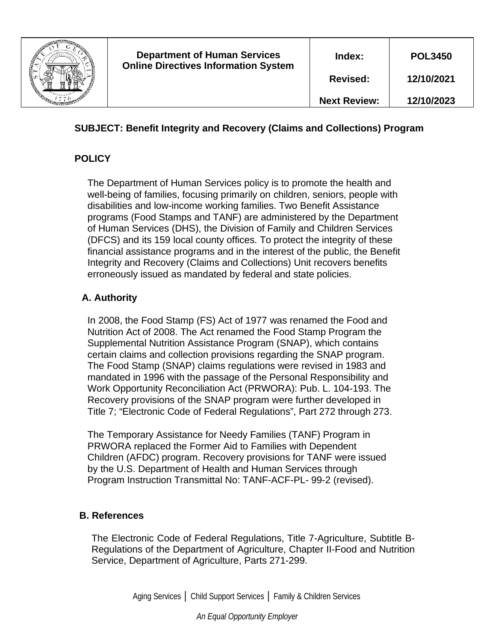

# **SUBJECT: Benefit Integrity and Recovery (Claims and Collections) Program**

# **POLICY**

The Department of Human Services policy is to promote the health and well-being of families, focusing primarily on children, seniors, people with disabilities and low-income working families. Two Benefit Assistance programs (Food Stamps and TANF) are administered by the Department of Human Services (DHS), the Division of Family and Children Services (DFCS) and its 159 local county offices. To protect the integrity of these financial assistance programs and in the interest of the public, the Benefit Integrity and Recovery (Claims and Collections) Unit recovers benefits erroneously issued as mandated by federal and state policies.

## **A. Authority**

In 2008, the Food Stamp (FS) Act of 1977 was renamed the Food and Nutrition Act of 2008. The Act renamed the Food Stamp Program the Supplemental Nutrition Assistance Program (SNAP), which contains certain claims and collection provisions regarding the SNAP program. The Food Stamp (SNAP) claims regulations were revised in 1983 and mandated in 1996 with the passage of the Personal Responsibility and Work Opportunity Reconciliation Act (PRWORA): Pub. L. 104-193. The Recovery provisions of the SNAP program were further developed in Title 7; "Electronic Code of Federal Regulations", Part 272 through 273.

The Temporary Assistance for Needy Families (TANF) Program in PRWORA replaced the Former Aid to Families with Dependent Children (AFDC) program. Recovery provisions for TANF were issued by the U.S. Department of Health and Human Services through Program Instruction Transmittal No: TANF-ACF-PL- 99-2 (revised).

## **B. References**

The Electronic Code of Federal Regulations, Title 7-Agriculture, Subtitle B-Regulations of the Department of Agriculture, Chapter II-Food and Nutrition Service, Department of Agriculture, Parts 271-299.

Aging Services │ Child Support Services │ Family & Children Services